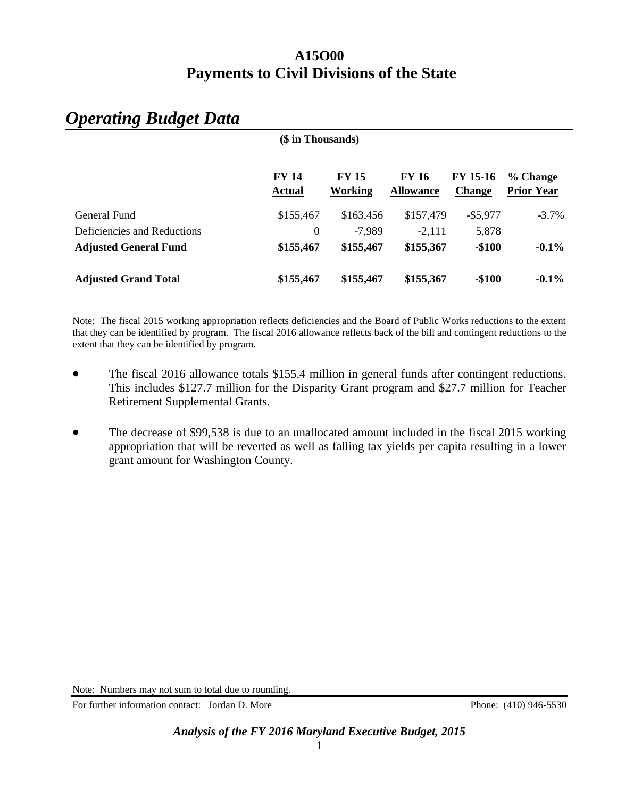### **A15O00 Payments to Civil Divisions of the State**

| (\$ in Thousands)            |                               |                         |                                  |                                  |                               |  |  |  |
|------------------------------|-------------------------------|-------------------------|----------------------------------|----------------------------------|-------------------------------|--|--|--|
|                              | <b>FY 14</b><br><b>Actual</b> | <b>FY 15</b><br>Working | <b>FY 16</b><br><b>Allowance</b> | <b>FY 15-16</b><br><b>Change</b> | % Change<br><b>Prior Year</b> |  |  |  |
| General Fund                 | \$155,467                     | \$163,456               | \$157,479                        | $-$ \$5,977                      | $-3.7%$                       |  |  |  |
| Deficiencies and Reductions  | $\Omega$                      | $-7,989$                | $-2,111$                         | 5,878                            |                               |  |  |  |
| <b>Adjusted General Fund</b> | \$155,467                     | \$155,467               | \$155,367                        | $-$100$                          | $-0.1\%$                      |  |  |  |
| <b>Adjusted Grand Total</b>  | \$155,467                     | \$155,467               | \$155,367                        | $-$100$                          | $-0.1\%$                      |  |  |  |

## *Operating Budget Data*

Note: The fiscal 2015 working appropriation reflects deficiencies and the Board of Public Works reductions to the extent that they can be identified by program. The fiscal 2016 allowance reflects back of the bill and contingent reductions to the extent that they can be identified by program.

- The fiscal 2016 allowance totals \$155.4 million in general funds after contingent reductions. This includes \$127.7 million for the Disparity Grant program and \$27.7 million for Teacher Retirement Supplemental Grants.
- The decrease of \$99,538 is due to an unallocated amount included in the fiscal 2015 working appropriation that will be reverted as well as falling tax yields per capita resulting in a lower grant amount for Washington County.

Note: Numbers may not sum to total due to rounding.

For further information contact: Jordan D. More Phone: (410) 946-5530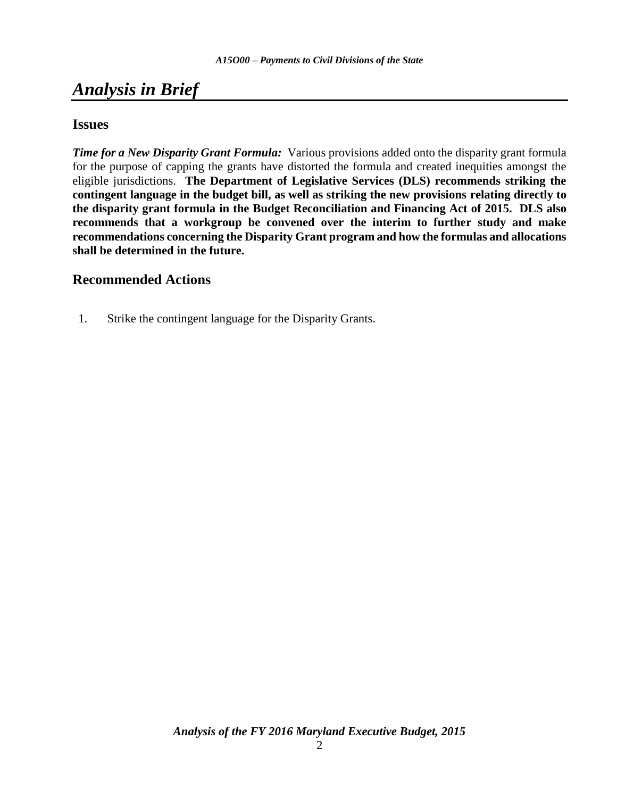## *Analysis in Brief*

### **Issues**

*Time for a New Disparity Grant Formula:* Various provisions added onto the disparity grant formula for the purpose of capping the grants have distorted the formula and created inequities amongst the eligible jurisdictions. **The Department of Legislative Services (DLS) recommends striking the contingent language in the budget bill, as well as striking the new provisions relating directly to the disparity grant formula in the Budget Reconciliation and Financing Act of 2015. DLS also recommends that a workgroup be convened over the interim to further study and make recommendations concerning the Disparity Grant program and how the formulas and allocations shall be determined in the future.**

### **Recommended Actions**

1. Strike the contingent language for the Disparity Grants.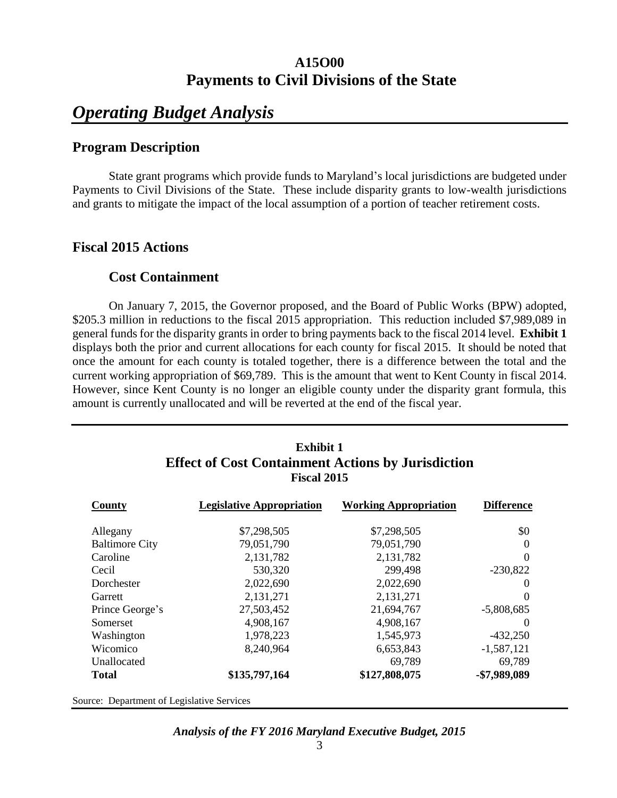### **A15O00 Payments to Civil Divisions of the State**

## *Operating Budget Analysis*

### **Program Description**

State grant programs which provide funds to Maryland's local jurisdictions are budgeted under Payments to Civil Divisions of the State. These include disparity grants to low-wealth jurisdictions and grants to mitigate the impact of the local assumption of a portion of teacher retirement costs.

### **Fiscal 2015 Actions**

### **Cost Containment**

On January 7, 2015, the Governor proposed, and the Board of Public Works (BPW) adopted, \$205.3 million in reductions to the fiscal 2015 appropriation. This reduction included \$7,989,089 in general funds for the disparity grants in order to bring payments back to the fiscal 2014 level. **Exhibit 1** displays both the prior and current allocations for each county for fiscal 2015. It should be noted that once the amount for each county is totaled together, there is a difference between the total and the current working appropriation of \$69,789. This is the amount that went to Kent County in fiscal 2014. However, since Kent County is no longer an eligible county under the disparity grant formula, this amount is currently unallocated and will be reverted at the end of the fiscal year.

| <b>Exhibit 1</b><br><b>Effect of Cost Containment Actions by Jurisdiction</b><br><b>Fiscal 2015</b> |                                  |                              |                   |  |  |  |  |  |
|-----------------------------------------------------------------------------------------------------|----------------------------------|------------------------------|-------------------|--|--|--|--|--|
| County                                                                                              | <b>Legislative Appropriation</b> | <b>Working Appropriation</b> | <b>Difference</b> |  |  |  |  |  |
| Allegany                                                                                            | \$7,298,505                      | \$7,298,505                  | \$0               |  |  |  |  |  |
| <b>Baltimore City</b>                                                                               | 79,051,790                       | 79,051,790                   | $\Omega$          |  |  |  |  |  |
| Caroline                                                                                            | 2,131,782                        | 2,131,782                    | $\Omega$          |  |  |  |  |  |
| Cecil                                                                                               | 530,320                          | 299,498                      | $-230,822$        |  |  |  |  |  |
| Dorchester                                                                                          | 2,022,690                        | 2,022,690                    | $\Omega$          |  |  |  |  |  |
| Garrett                                                                                             | 2,131,271                        | 2,131,271                    | 0                 |  |  |  |  |  |
| Prince George's                                                                                     | 27,503,452                       | 21,694,767                   | $-5,808,685$      |  |  |  |  |  |
| Somerset                                                                                            | 4,908,167                        | 4,908,167                    | $\Omega$          |  |  |  |  |  |
| Washington                                                                                          | 1,978,223                        | 1,545,973                    | $-432,250$        |  |  |  |  |  |
| Wicomico                                                                                            | 8,240,964                        | 6,653,843                    | $-1,587,121$      |  |  |  |  |  |
| Unallocated                                                                                         |                                  | 69,789                       | 69,789            |  |  |  |  |  |
| Total                                                                                               | \$135,797,164                    | \$127,808,075                | -\$7,989,089      |  |  |  |  |  |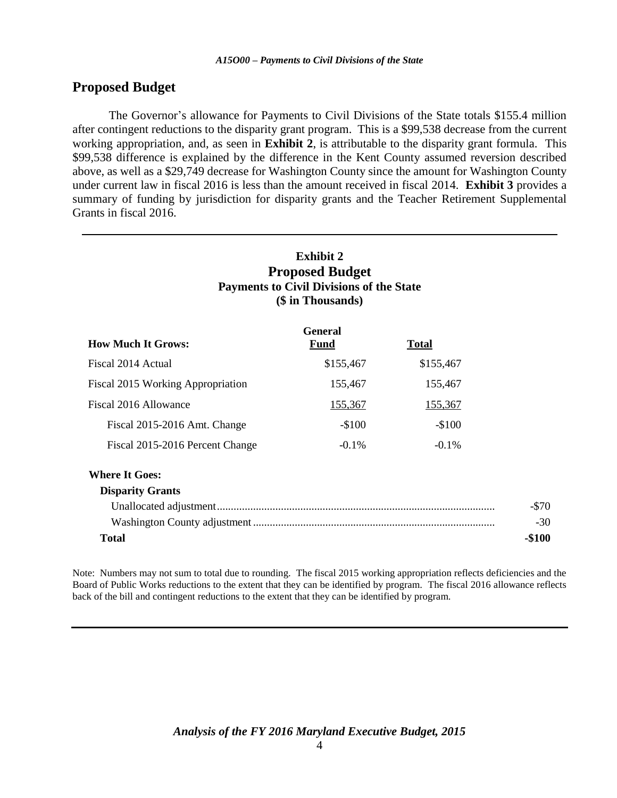### **Proposed Budget**

The Governor's allowance for Payments to Civil Divisions of the State totals \$155.4 million after contingent reductions to the disparity grant program. This is a \$99,538 decrease from the current working appropriation, and, as seen in **Exhibit 2**, is attributable to the disparity grant formula. This \$99,538 difference is explained by the difference in the Kent County assumed reversion described above, as well as a \$29,749 decrease for Washington County since the amount for Washington County under current law in fiscal 2016 is less than the amount received in fiscal 2014. **Exhibit 3** provides a summary of funding by jurisdiction for disparity grants and the Teacher Retirement Supplemental Grants in fiscal 2016.

| <b>Exhibit 2</b><br><b>Proposed Budget</b><br><b>Payments to Civil Divisions of the State</b><br>(\$ in Thousands) |                        |              |         |  |  |  |  |  |  |
|--------------------------------------------------------------------------------------------------------------------|------------------------|--------------|---------|--|--|--|--|--|--|
| <b>How Much It Grows:</b>                                                                                          | <b>General</b><br>Fund | <b>Total</b> |         |  |  |  |  |  |  |
| Fiscal 2014 Actual                                                                                                 | \$155,467              | \$155,467    |         |  |  |  |  |  |  |
| Fiscal 2015 Working Appropriation                                                                                  | 155,467                | 155,467      |         |  |  |  |  |  |  |
| Fiscal 2016 Allowance                                                                                              | 155,367                | 155,367      |         |  |  |  |  |  |  |
| Fiscal 2015-2016 Amt. Change                                                                                       | $-$100$                | $-$100$      |         |  |  |  |  |  |  |
| Fiscal 2015-2016 Percent Change                                                                                    | $-0.1\%$               | $-0.1\%$     |         |  |  |  |  |  |  |
| <b>Where It Goes:</b>                                                                                              |                        |              |         |  |  |  |  |  |  |
| <b>Disparity Grants</b>                                                                                            |                        |              |         |  |  |  |  |  |  |
|                                                                                                                    |                        |              | $-\$70$ |  |  |  |  |  |  |
|                                                                                                                    |                        |              | $-30$   |  |  |  |  |  |  |
| <b>Total</b>                                                                                                       |                        |              |         |  |  |  |  |  |  |

Note: Numbers may not sum to total due to rounding. The fiscal 2015 working appropriation reflects deficiencies and the Board of Public Works reductions to the extent that they can be identified by program. The fiscal 2016 allowance reflects back of the bill and contingent reductions to the extent that they can be identified by program.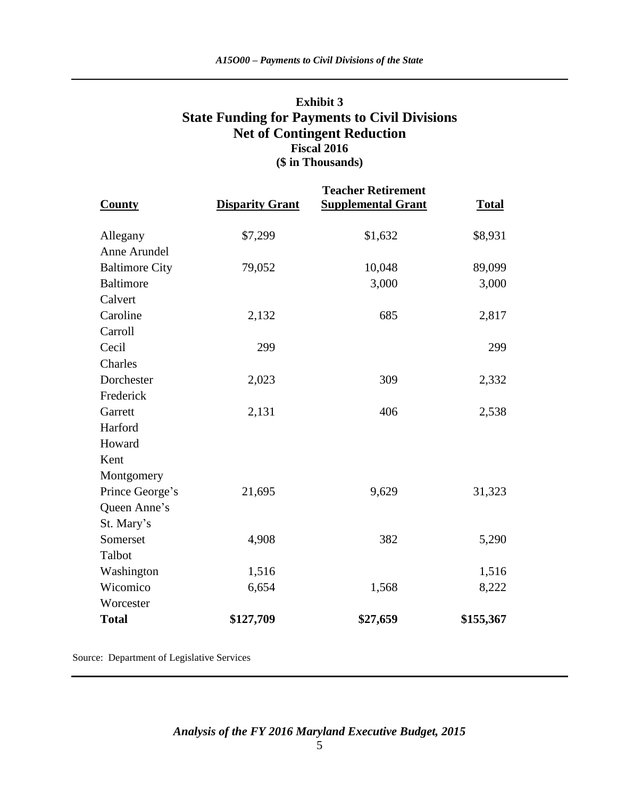### **Exhibit 3 State Funding for Payments to Civil Divisions Net of Contingent Reduction Fiscal 2016 (\$ in Thousands)**

| <b>County</b>         | <b>Disparity Grant</b> | <b>Teacher Retirement</b><br><b>Supplemental Grant</b> | <b>Total</b> |
|-----------------------|------------------------|--------------------------------------------------------|--------------|
| Allegany              | \$7,299                | \$1,632                                                | \$8,931      |
| Anne Arundel          |                        |                                                        |              |
| <b>Baltimore City</b> | 79,052                 | 10,048                                                 | 89,099       |
| <b>Baltimore</b>      |                        | 3,000                                                  | 3,000        |
| Calvert               |                        |                                                        |              |
| Caroline              | 2,132                  | 685                                                    | 2,817        |
| Carroll               |                        |                                                        |              |
| Cecil                 | 299                    |                                                        | 299          |
| Charles               |                        |                                                        |              |
| Dorchester            | 2,023                  | 309                                                    | 2,332        |
| Frederick             |                        |                                                        |              |
| Garrett               | 2,131                  | 406                                                    | 2,538        |
| Harford               |                        |                                                        |              |
| Howard                |                        |                                                        |              |
| Kent                  |                        |                                                        |              |
| Montgomery            |                        |                                                        |              |
| Prince George's       | 21,695                 | 9,629                                                  | 31,323       |
| Queen Anne's          |                        |                                                        |              |
| St. Mary's            |                        |                                                        |              |
| Somerset              | 4,908                  | 382                                                    | 5,290        |
| Talbot                |                        |                                                        |              |
| Washington            | 1,516                  |                                                        | 1,516        |
| Wicomico              | 6,654                  | 1,568                                                  | 8,222        |
| Worcester             |                        |                                                        |              |
| <b>Total</b>          | \$127,709              | \$27,659                                               | \$155,367    |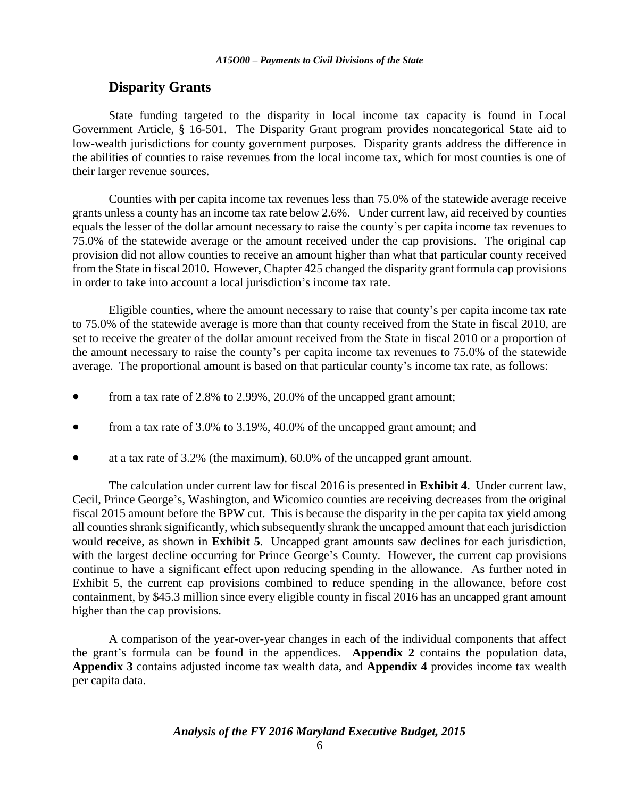### **Disparity Grants**

State funding targeted to the disparity in local income tax capacity is found in Local Government Article, § 16-501. The Disparity Grant program provides noncategorical State aid to low-wealth jurisdictions for county government purposes. Disparity grants address the difference in the abilities of counties to raise revenues from the local income tax, which for most counties is one of their larger revenue sources.

Counties with per capita income tax revenues less than 75.0% of the statewide average receive grants unless a county has an income tax rate below 2.6%. Under current law, aid received by counties equals the lesser of the dollar amount necessary to raise the county's per capita income tax revenues to 75.0% of the statewide average or the amount received under the cap provisions. The original cap provision did not allow counties to receive an amount higher than what that particular county received from the State in fiscal 2010. However, Chapter 425 changed the disparity grant formula cap provisions in order to take into account a local jurisdiction's income tax rate.

Eligible counties, where the amount necessary to raise that county's per capita income tax rate to 75.0% of the statewide average is more than that county received from the State in fiscal 2010, are set to receive the greater of the dollar amount received from the State in fiscal 2010 or a proportion of the amount necessary to raise the county's per capita income tax revenues to 75.0% of the statewide average. The proportional amount is based on that particular county's income tax rate, as follows:

- from a tax rate of 2.8% to 2.99%, 20.0% of the uncapped grant amount;
- from a tax rate of 3.0% to 3.19%, 40.0% of the uncapped grant amount; and
- at a tax rate of 3.2% (the maximum), 60.0% of the uncapped grant amount.

The calculation under current law for fiscal 2016 is presented in **Exhibit 4**. Under current law, Cecil, Prince George's, Washington, and Wicomico counties are receiving decreases from the original fiscal 2015 amount before the BPW cut. This is because the disparity in the per capita tax yield among all counties shrank significantly, which subsequently shrank the uncapped amount that each jurisdiction would receive, as shown in **Exhibit 5**. Uncapped grant amounts saw declines for each jurisdiction, with the largest decline occurring for Prince George's County. However, the current cap provisions continue to have a significant effect upon reducing spending in the allowance. As further noted in Exhibit 5, the current cap provisions combined to reduce spending in the allowance, before cost containment, by \$45.3 million since every eligible county in fiscal 2016 has an uncapped grant amount higher than the cap provisions.

A comparison of the year-over-year changes in each of the individual components that affect the grant's formula can be found in the appendices. **Appendix 2** contains the population data, **Appendix 3** contains adjusted income tax wealth data, and **Appendix 4** provides income tax wealth per capita data.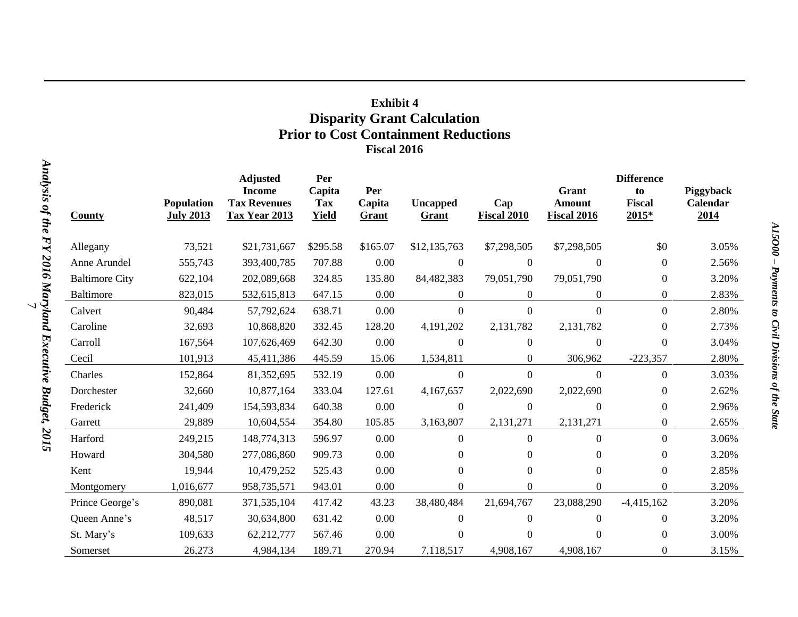### **Exhibit 4 Disparity Grant Calculation Prior to Cost Containment Reductions Fiscal 2016**

|                       |                                       | <b>Adjusted</b>                                       | Per                           |                        |                          |                    |                                       | <b>Difference</b>              |                               |
|-----------------------|---------------------------------------|-------------------------------------------------------|-------------------------------|------------------------|--------------------------|--------------------|---------------------------------------|--------------------------------|-------------------------------|
| <b>County</b>         | <b>Population</b><br><b>July 2013</b> | <b>Income</b><br><b>Tax Revenues</b><br>Tax Year 2013 | Capita<br>Tax<br><b>Yield</b> | Per<br>Capita<br>Grant | <b>Uncapped</b><br>Grant | Cap<br>Fiscal 2010 | Grant<br>Amount<br><b>Fiscal 2016</b> | to<br><b>Fiscal</b><br>$2015*$ | Piggyback<br>Calendar<br>2014 |
| Allegany              | 73,521                                | \$21,731,667                                          | \$295.58                      | \$165.07               | \$12,135,763             | \$7,298,505        | \$7,298,505                           | \$0                            | 3.05%                         |
| Anne Arundel          | 555,743                               | 393,400,785                                           | 707.88                        | 0.00                   | $\overline{0}$           | $\theta$           | $\overline{0}$                        | $\theta$                       | 2.56%                         |
| <b>Baltimore City</b> | 622,104                               | 202,089,668                                           | 324.85                        | 135.80                 | 84,482,383               | 79,051,790         | 79,051,790                            | $\boldsymbol{0}$               | 3.20%                         |
| <b>Baltimore</b>      | 823,015                               | 532,615,813                                           | 647.15                        | 0.00                   | $\boldsymbol{0}$         | $\overline{0}$     | $\overline{0}$                        | $\boldsymbol{0}$               | 2.83%                         |
| Calvert               | 90,484                                | 57,792,624                                            | 638.71                        | 0.00                   | $\overline{0}$           | $\overline{0}$     | $\Omega$                              | $\boldsymbol{0}$               | 2.80%                         |
| Caroline              | 32,693                                | 10,868,820                                            | 332.45                        | 128.20                 | 4,191,202                | 2,131,782          | 2,131,782                             | $\theta$                       | 2.73%                         |
| Carroll               | 167,564                               | 107,626,469                                           | 642.30                        | 0.00                   | $\Omega$                 | $\boldsymbol{0}$   | $\theta$                              | $\overline{0}$                 | 3.04%                         |
| Cecil                 | 101,913                               | 45,411,386                                            | 445.59                        | 15.06                  | 1,534,811                | $\Omega$           | 306,962                               | $-223,357$                     | 2.80%                         |
| Charles               | 152,864                               | 81,352,695                                            | 532.19                        | 0.00                   | $\boldsymbol{0}$         | $\overline{0}$     | $\theta$                              | $\overline{0}$                 | 3.03%                         |
| Dorchester            | 32,660                                | 10,877,164                                            | 333.04                        | 127.61                 | 4,167,657                | 2,022,690          | 2,022,690                             | $\boldsymbol{0}$               | 2.62%                         |
| Frederick             | 241,409                               | 154,593,834                                           | 640.38                        | 0.00                   | $\boldsymbol{0}$         | $\boldsymbol{0}$   | $\boldsymbol{0}$                      | $\boldsymbol{0}$               | 2.96%                         |
| Garrett               | 29,889                                | 10,604,554                                            | 354.80                        | 105.85                 | 3,163,807                | 2,131,271          | 2,131,271                             | $\boldsymbol{0}$               | 2.65%                         |
| Harford               | 249,215                               | 148,774,313                                           | 596.97                        | 0.00                   | $\overline{0}$           | $\boldsymbol{0}$   | $\mathbf{0}$                          | $\boldsymbol{0}$               | 3.06%                         |
| Howard                | 304,580                               | 277,086,860                                           | 909.73                        | 0.00                   | $\Omega$                 | $\Omega$           | $\Omega$                              | $\overline{0}$                 | 3.20%                         |
| Kent                  | 19,944                                | 10,479,252                                            | 525.43                        | 0.00                   | $\overline{0}$           | $\boldsymbol{0}$   | $\mathbf{0}$                          | $\boldsymbol{0}$               | 2.85%                         |
| Montgomery            | 1,016,677                             | 958,735,571                                           | 943.01                        | 0.00                   | $\Omega$                 | $\Omega$           | $\Omega$                              | $\Omega$                       | 3.20%                         |
| Prince George's       | 890,081                               | 371,535,104                                           | 417.42                        | 43.23                  | 38,480,484               | 21,694,767         | 23,088,290                            | $-4,415,162$                   | 3.20%                         |
| Queen Anne's          | 48,517                                | 30,634,800                                            | 631.42                        | 0.00                   | $\theta$                 | $\theta$           | $\theta$                              | $\boldsymbol{0}$               | 3.20%                         |
| St. Mary's            | 109,633                               | 62,212,777                                            | 567.46                        | 0.00                   | $\Omega$                 | $\Omega$           | $\Omega$                              | $\Omega$                       | 3.00%                         |
| Somerset              | 26,273                                | 4,984,134                                             | 189.71                        | 270.94                 | 7,118,517                | 4,908,167          | 4,908,167                             | $\theta$                       | 3.15%                         |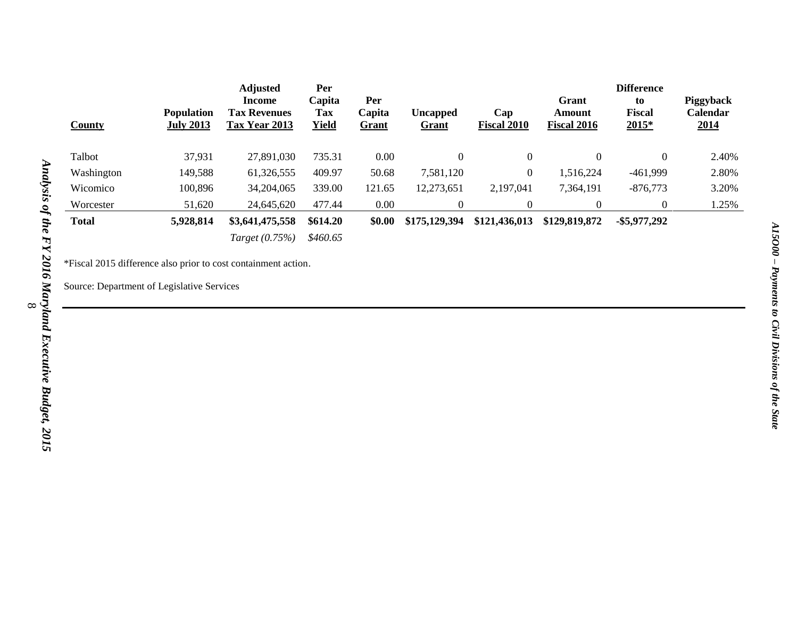| <b>County</b> | <b>Population</b><br><b>July 2013</b> | <b>Adjusted</b><br>Income<br><b>Tax Revenues</b><br>Tax Year 2013 | Per<br>Capita<br>Tax<br><b>Yield</b> | Per<br>Capita<br><b>Grant</b> | <b>Uncapped</b><br><b>Grant</b> | Cap<br><b>Fiscal 2010</b> | Grant<br>Amount<br>Fiscal 2016 | <b>Difference</b><br>to<br><b>Fiscal</b><br>$2015*$ | Piggyback<br>Calendar<br><u>2014</u> |
|---------------|---------------------------------------|-------------------------------------------------------------------|--------------------------------------|-------------------------------|---------------------------------|---------------------------|--------------------------------|-----------------------------------------------------|--------------------------------------|
| Talbot        | 37,931                                | 27,891,030                                                        | 735.31                               | 0.00                          | 0                               | $\theta$                  | $\theta$                       | $\mathbf{0}$                                        | 2.40%                                |
| Washington    | 149,588                               | 61,326,555                                                        | 409.97                               | 50.68                         | 7,581,120                       | $\overline{0}$            | 1,516,224                      | $-461,999$                                          | 2.80%                                |
| Wicomico      | 100,896                               | 34,204,065                                                        | 339.00                               | 121.65                        | 12,273,651                      | 2,197,041                 | 7,364,191                      | $-876,773$                                          | 3.20%                                |
| Worcester     | 51,620                                | 24,645,620                                                        | 477.44                               | 0.00                          | $\overline{0}$                  | $\Omega$                  | $\Omega$                       | $\theta$                                            | 1.25%                                |
| <b>Total</b>  | 5,928,814                             | \$3,641,475,558                                                   | \$614.20                             | \$0.00                        | \$175,129,394                   | \$121,436,013             | \$129,819,872                  | $-$ \$5,977,292                                     |                                      |
|               |                                       | Target (0.75%)                                                    | \$460.65                             |                               |                                 |                           |                                |                                                     |                                      |

\*Fiscal 2015 difference also prior to cost containment action.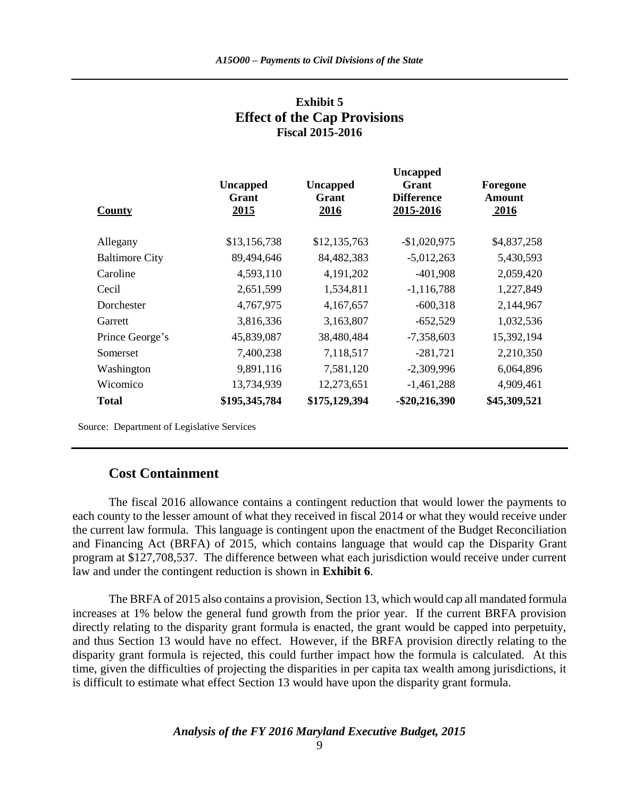| <b>Uncapped</b><br>Grant<br>2015 | <b>Uncapped</b><br>Grant<br>2016 | <b>Uncapped</b><br>Grant<br><b>Difference</b><br>2015-2016 | Foregone<br>Amount<br>2016 |
|----------------------------------|----------------------------------|------------------------------------------------------------|----------------------------|
| \$13,156,738                     | \$12,135,763                     | $-$1,020,975$                                              | \$4,837,258                |
| 89,494,646                       | 84,482,383                       | $-5,012,263$                                               | 5,430,593                  |
| 4,593,110                        | 4,191,202                        | $-401,908$                                                 | 2,059,420                  |
| 2,651,599                        | 1,534,811                        | $-1,116,788$                                               | 1,227,849                  |
| 4,767,975                        | 4,167,657                        | $-600,318$                                                 | 2,144,967                  |
| 3,816,336                        | 3,163,807                        | $-652,529$                                                 | 1,032,536                  |
| 45,839,087                       | 38,480,484                       | $-7,358,603$                                               | 15,392,194                 |
| 7,400,238                        | 7,118,517                        | $-281,721$                                                 | 2,210,350                  |
| 9,891,116                        | 7,581,120                        | $-2,309,996$                                               | 6,064,896                  |
| 13,734,939                       | 12,273,651                       | $-1,461,288$                                               | 4,909,461                  |
| \$195,345,784                    | \$175,129,394                    | $-$ \$20,216,390                                           | \$45,309,521               |
|                                  |                                  |                                                            |                            |

### **Exhibit 5 Effect of the Cap Provisions Fiscal 2015-2016**

Source: Department of Legislative Services

### **Cost Containment**

The fiscal 2016 allowance contains a contingent reduction that would lower the payments to each county to the lesser amount of what they received in fiscal 2014 or what they would receive under the current law formula. This language is contingent upon the enactment of the Budget Reconciliation and Financing Act (BRFA) of 2015, which contains language that would cap the Disparity Grant program at \$127,708,537. The difference between what each jurisdiction would receive under current law and under the contingent reduction is shown in **Exhibit 6**.

The BRFA of 2015 also contains a provision, Section 13, which would cap all mandated formula increases at 1% below the general fund growth from the prior year. If the current BRFA provision directly relating to the disparity grant formula is enacted, the grant would be capped into perpetuity, and thus Section 13 would have no effect. However, if the BRFA provision directly relating to the disparity grant formula is rejected, this could further impact how the formula is calculated. At this time, given the difficulties of projecting the disparities in per capita tax wealth among jurisdictions, it is difficult to estimate what effect Section 13 would have upon the disparity grant formula.

*Analysis of the FY 2016 Maryland Executive Budget, 2015*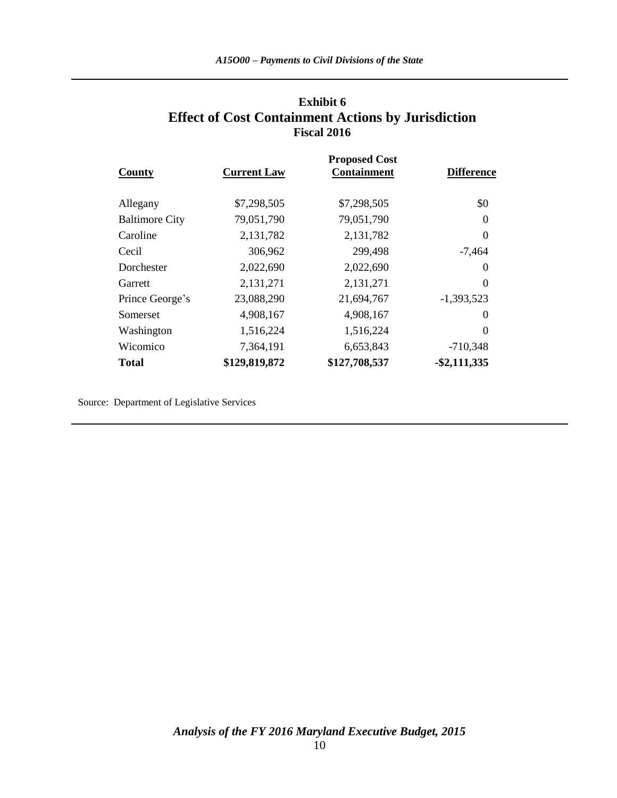### **Exhibit 6 Effect of Cost Containment Actions by Jurisdiction Fiscal 2016**

|                       | <b>Proposed Cost</b> |                    |                   |  |  |  |  |  |
|-----------------------|----------------------|--------------------|-------------------|--|--|--|--|--|
| County                | <b>Current Law</b>   | <b>Containment</b> | <b>Difference</b> |  |  |  |  |  |
|                       |                      |                    |                   |  |  |  |  |  |
| Allegany              | \$7,298,505          | \$7,298,505        | \$0               |  |  |  |  |  |
| <b>Baltimore City</b> | 79,051,790           | 79,051,790         | $\theta$          |  |  |  |  |  |
| Caroline              | 2,131,782            | 2,131,782          | $\theta$          |  |  |  |  |  |
| Cecil                 | 306,962              | 299,498            | $-7,464$          |  |  |  |  |  |
| Dorchester            | 2,022,690            | 2,022,690          | $\theta$          |  |  |  |  |  |
| Garrett               | 2,131,271            | 2,131,271          | $\Omega$          |  |  |  |  |  |
| Prince George's       | 23,088,290           | 21,694,767         | $-1,393,523$      |  |  |  |  |  |
| Somerset              | 4,908,167            | 4,908,167          | $\theta$          |  |  |  |  |  |
| Washington            | 1,516,224            | 1,516,224          | $\Omega$          |  |  |  |  |  |
| Wicomico              | 7,364,191            | 6,653,843          | $-710,348$        |  |  |  |  |  |
| <b>Total</b>          | \$129,819,872        | \$127,708,537      | $-$ \$2,111,335   |  |  |  |  |  |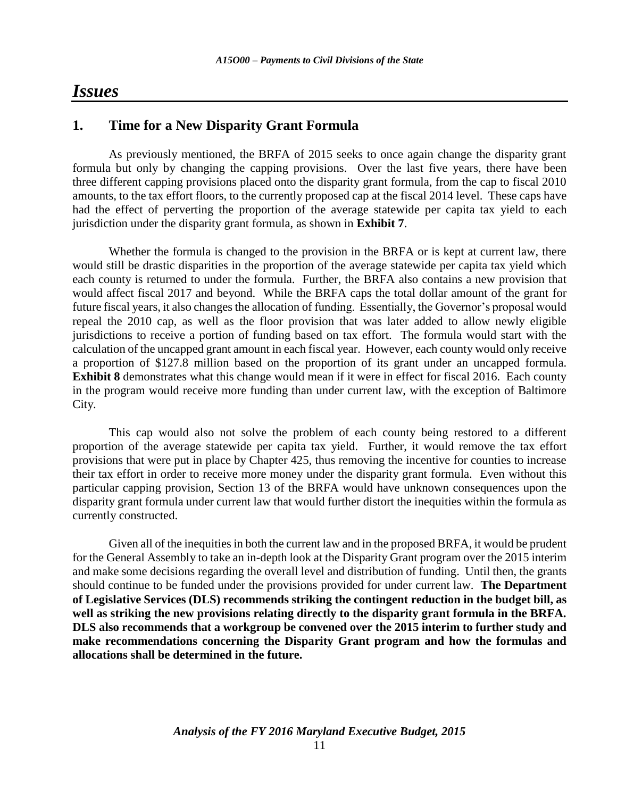### *Issues*

### **1. Time for a New Disparity Grant Formula**

As previously mentioned, the BRFA of 2015 seeks to once again change the disparity grant formula but only by changing the capping provisions. Over the last five years, there have been three different capping provisions placed onto the disparity grant formula, from the cap to fiscal 2010 amounts, to the tax effort floors, to the currently proposed cap at the fiscal 2014 level. These caps have had the effect of perverting the proportion of the average statewide per capita tax yield to each jurisdiction under the disparity grant formula, as shown in **Exhibit 7**.

Whether the formula is changed to the provision in the BRFA or is kept at current law, there would still be drastic disparities in the proportion of the average statewide per capita tax yield which each county is returned to under the formula. Further, the BRFA also contains a new provision that would affect fiscal 2017 and beyond. While the BRFA caps the total dollar amount of the grant for future fiscal years, it also changes the allocation of funding. Essentially, the Governor's proposal would repeal the 2010 cap, as well as the floor provision that was later added to allow newly eligible jurisdictions to receive a portion of funding based on tax effort. The formula would start with the calculation of the uncapped grant amount in each fiscal year. However, each county would only receive a proportion of \$127.8 million based on the proportion of its grant under an uncapped formula. **Exhibit 8** demonstrates what this change would mean if it were in effect for fiscal 2016. Each county in the program would receive more funding than under current law, with the exception of Baltimore City.

This cap would also not solve the problem of each county being restored to a different proportion of the average statewide per capita tax yield. Further, it would remove the tax effort provisions that were put in place by Chapter 425, thus removing the incentive for counties to increase their tax effort in order to receive more money under the disparity grant formula. Even without this particular capping provision, Section 13 of the BRFA would have unknown consequences upon the disparity grant formula under current law that would further distort the inequities within the formula as currently constructed.

Given all of the inequities in both the current law and in the proposed BRFA, it would be prudent for the General Assembly to take an in-depth look at the Disparity Grant program over the 2015 interim and make some decisions regarding the overall level and distribution of funding. Until then, the grants should continue to be funded under the provisions provided for under current law. **The Department of Legislative Services (DLS) recommends striking the contingent reduction in the budget bill, as well as striking the new provisions relating directly to the disparity grant formula in the BRFA. DLS also recommends that a workgroup be convened over the 2015 interim to further study and make recommendations concerning the Disparity Grant program and how the formulas and allocations shall be determined in the future.**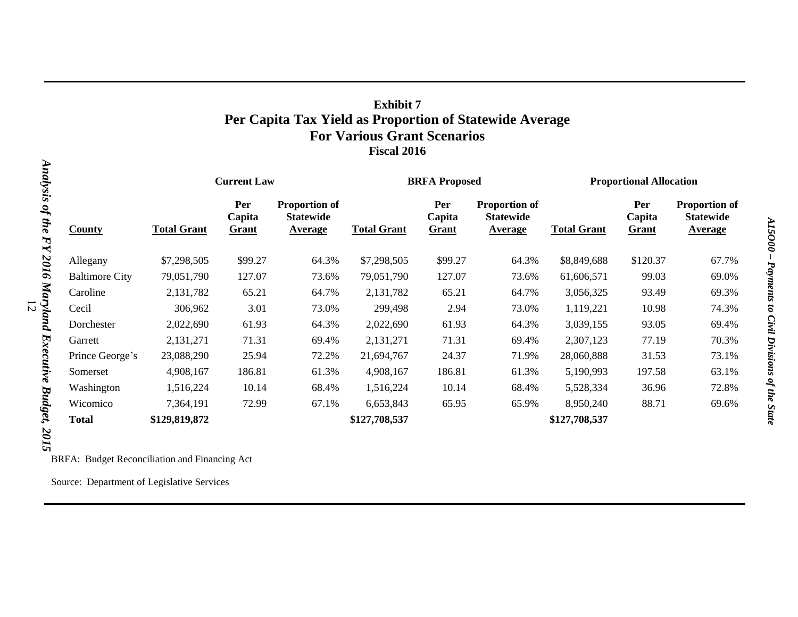### **Exhibit 7 Per Capita Tax Yield as Proportion of Statewide Average For Various Grant Scenarios Fiscal 2016**

|                       |                    | <b>Current Law</b>     |                                                     |                    | <b>BRFA Proposed</b>   |                                                            |                    | <b>Proportional Allocation</b> |                                                            |  |
|-----------------------|--------------------|------------------------|-----------------------------------------------------|--------------------|------------------------|------------------------------------------------------------|--------------------|--------------------------------|------------------------------------------------------------|--|
| County                | <b>Total Grant</b> | Per<br>Capita<br>Grant | Proportion of<br><b>Statewide</b><br><b>Average</b> | <b>Total Grant</b> | Per<br>Capita<br>Grant | <b>Proportion of</b><br><b>Statewide</b><br><b>Average</b> | <b>Total Grant</b> | Per<br>Capita<br>Grant         | <b>Proportion of</b><br><b>Statewide</b><br><b>Average</b> |  |
| Allegany              | \$7,298,505        | \$99.27                | 64.3%                                               | \$7,298,505        | \$99.27                | 64.3%                                                      | \$8,849,688        | \$120.37                       | 67.7%                                                      |  |
| <b>Baltimore City</b> | 79,051,790         | 127.07                 | 73.6%                                               | 79,051,790         | 127.07                 | 73.6%                                                      | 61,606,571         | 99.03                          | 69.0%                                                      |  |
| Caroline              | 2,131,782          | 65.21                  | 64.7%                                               | 2,131,782          | 65.21                  | 64.7%                                                      | 3,056,325          | 93.49                          | 69.3%                                                      |  |
| Cecil                 | 306,962            | 3.01                   | 73.0%                                               | 299,498            | 2.94                   | 73.0%                                                      | 1,119,221          | 10.98                          | 74.3%                                                      |  |
| Dorchester            | 2,022,690          | 61.93                  | 64.3%                                               | 2,022,690          | 61.93                  | 64.3%                                                      | 3,039,155          | 93.05                          | 69.4%                                                      |  |
| Garrett               | 2,131,271          | 71.31                  | 69.4%                                               | 2,131,271          | 71.31                  | 69.4%                                                      | 2,307,123          | 77.19                          | 70.3%                                                      |  |
| Prince George's       | 23,088,290         | 25.94                  | 72.2%                                               | 21,694,767         | 24.37                  | 71.9%                                                      | 28,060,888         | 31.53                          | 73.1%                                                      |  |
| Somerset              | 4,908,167          | 186.81                 | 61.3%                                               | 4,908,167          | 186.81                 | 61.3%                                                      | 5,190,993          | 197.58                         | 63.1%                                                      |  |
| Washington            | 1,516,224          | 10.14                  | 68.4%                                               | 1,516,224          | 10.14                  | 68.4%                                                      | 5,528,334          | 36.96                          | 72.8%                                                      |  |
| Wicomico              | 7,364,191          | 72.99                  | 67.1%                                               | 6,653,843          | 65.95                  | 65.9%                                                      | 8,950,240          | 88.71                          | 69.6%                                                      |  |
| <b>Total</b>          | \$129,819,872      |                        |                                                     | \$127,708,537      |                        |                                                            | \$127,708,537      |                                |                                                            |  |

*Analysis of the FY 2016 Maryland Executive Budget, 2015* 12 ò  $set, 2015$ 

BRFA: Budget Reconciliation and Financing Act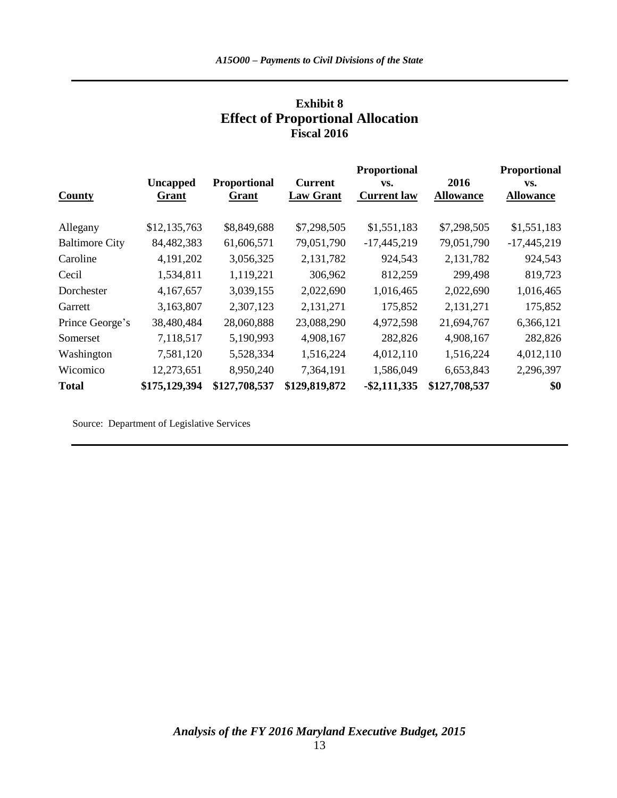| <b>Exhibit 8</b>                         |
|------------------------------------------|
| <b>Effect of Proportional Allocation</b> |
| <b>Fiscal 2016</b>                       |

|                       |                 |                     |                  | Proportional       |                  | <b>Proportional</b> |
|-----------------------|-----------------|---------------------|------------------|--------------------|------------------|---------------------|
|                       | <b>Uncapped</b> | <b>Proportional</b> | <b>Current</b>   | VS.                | 2016             | VS.                 |
| County                | Grant           | Grant               | <b>Law Grant</b> | <b>Current law</b> | <b>Allowance</b> | <b>Allowance</b>    |
|                       |                 |                     |                  |                    |                  |                     |
| Allegany              | \$12,135,763    | \$8,849,688         | \$7,298,505      | \$1,551,183        | \$7,298,505      | \$1,551,183         |
| <b>Baltimore City</b> | 84,482,383      | 61,606,571          | 79,051,790       | $-17,445,219$      | 79,051,790       | $-17,445,219$       |
| Caroline              | 4,191,202       | 3,056,325           | 2,131,782        | 924,543            | 2,131,782        | 924,543             |
| Cecil                 | 1,534,811       | 1,119,221           | 306,962          | 812,259            | 299,498          | 819,723             |
| Dorchester            | 4,167,657       | 3,039,155           | 2,022,690        | 1,016,465          | 2,022,690        | 1,016,465           |
| Garrett               | 3,163,807       | 2,307,123           | 2,131,271        | 175,852            | 2,131,271        | 175,852             |
| Prince George's       | 38,480,484      | 28,060,888          | 23,088,290       | 4,972,598          | 21,694,767       | 6,366,121           |
| Somerset              | 7,118,517       | 5,190,993           | 4,908,167        | 282,826            | 4,908,167        | 282,826             |
| Washington            | 7,581,120       | 5,528,334           | 1,516,224        | 4,012,110          | 1,516,224        | 4,012,110           |
| Wicomico              | 12,273,651      | 8,950,240           | 7,364,191        | 1,586,049          | 6,653,843        | 2,296,397           |
| <b>Total</b>          | \$175,129,394   | \$127,708,537       | \$129,819,872    | $-$ \$2,111,335    | \$127,708,537    | \$0                 |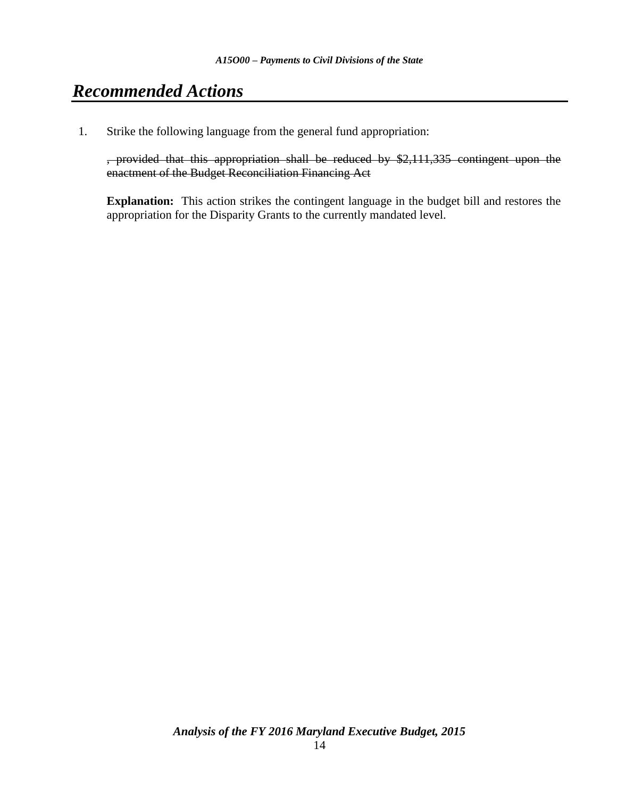## *Recommended Actions*

1. Strike the following language from the general fund appropriation:

, provided that this appropriation shall be reduced by \$2,111,335 contingent upon the enactment of the Budget Reconciliation Financing Act

**Explanation:** This action strikes the contingent language in the budget bill and restores the appropriation for the Disparity Grants to the currently mandated level.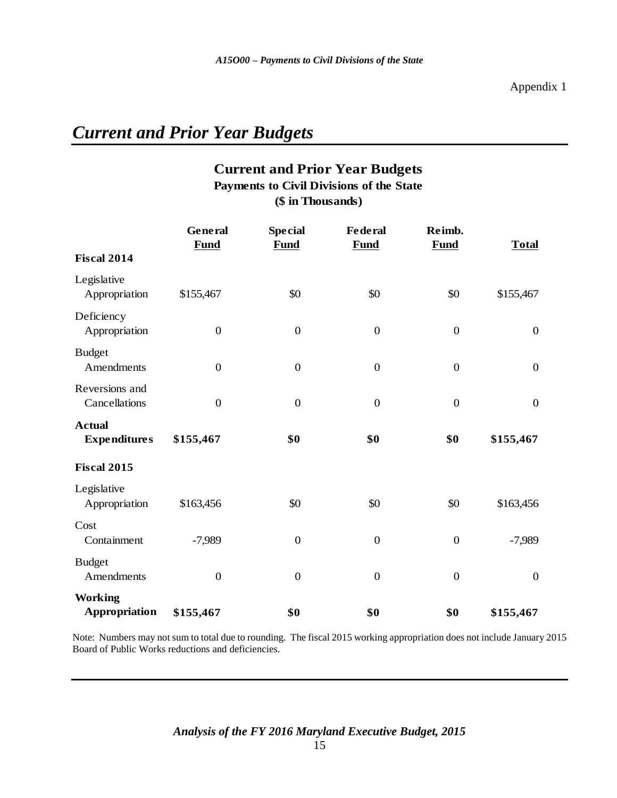# *Current and Prior Year Budgets*

### **Current and Prior Year Budgets (\$ in Thousands) Payments to Civil Divisions of the State**

|                                        | General<br><b>Fund</b> | <b>Special</b><br><b>Fund</b> | Federal<br><b>Fund</b> | Reimb.<br><b>Fund</b> | <b>Total</b>     |
|----------------------------------------|------------------------|-------------------------------|------------------------|-----------------------|------------------|
| <b>Fiscal 2014</b>                     |                        |                               |                        |                       |                  |
| Legislative<br>Appropriation           | \$155,467              | \$0                           | \$0                    | \$0                   | \$155,467        |
| Deficiency<br>Appropriation            | $\boldsymbol{0}$       | $\boldsymbol{0}$              | $\boldsymbol{0}$       | $\boldsymbol{0}$      | $\boldsymbol{0}$ |
| <b>Budget</b><br>Amendments            | $\boldsymbol{0}$       | $\boldsymbol{0}$              | $\boldsymbol{0}$       | $\boldsymbol{0}$      | $\boldsymbol{0}$ |
| Reversions and<br>Cancellations        | $\overline{0}$         | $\overline{0}$                | $\overline{0}$         | $\overline{0}$        | $\overline{0}$   |
| <b>Actual</b><br><b>Expenditures</b>   | \$155,467              | \$0                           | \$0                    | \$0                   | \$155,467        |
| <b>Fiscal 2015</b>                     |                        |                               |                        |                       |                  |
| Legislative<br>Appropriation           | \$163,456              | \$0                           | \$0                    | \$0                   | \$163,456        |
| Cost<br>Containment                    | $-7,989$               | $\boldsymbol{0}$              | $\boldsymbol{0}$       | $\boldsymbol{0}$      | $-7,989$         |
| <b>Budget</b><br>Amendments            | $\boldsymbol{0}$       | $\boldsymbol{0}$              | $\boldsymbol{0}$       | $\boldsymbol{0}$      | $\overline{0}$   |
| <b>Working</b><br><b>Appropriation</b> | \$155,467              | \$0                           | \$0                    | \$0                   | \$155,467        |

Note: Numbers may not sum to total due to rounding. The fiscal 2015 working appropriation does not include January 2015 Board of Public Works reductions and deficiencies.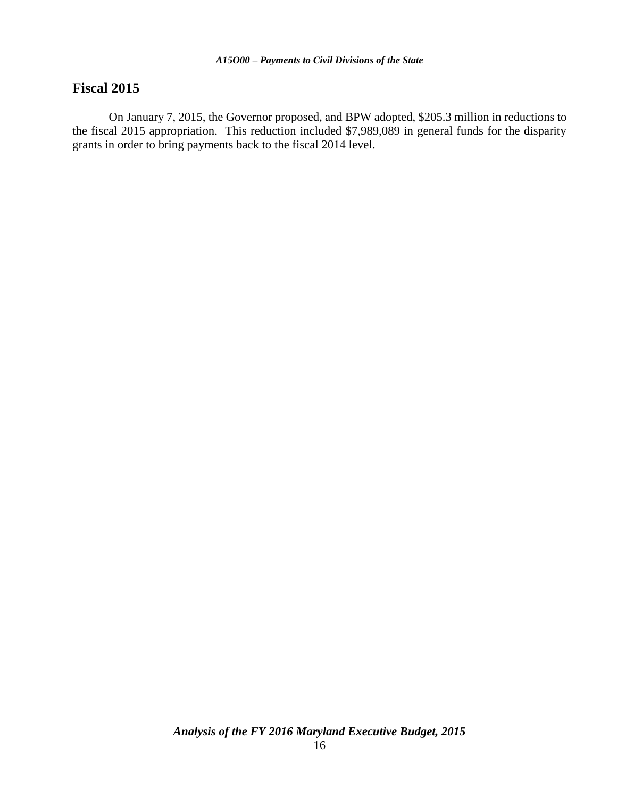### **Fiscal 2015**

On January 7, 2015, the Governor proposed, and BPW adopted, \$205.3 million in reductions to the fiscal 2015 appropriation. This reduction included \$7,989,089 in general funds for the disparity grants in order to bring payments back to the fiscal 2014 level.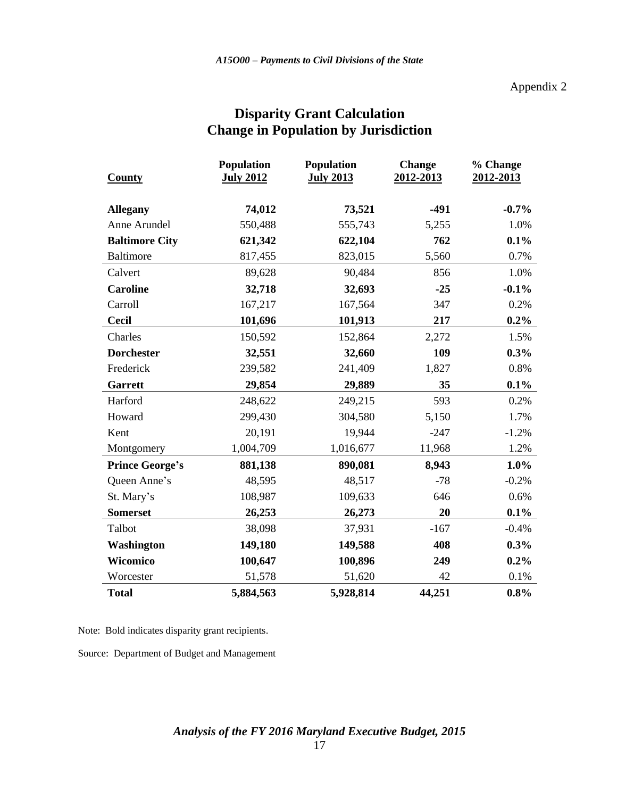Appendix 2

| <b>County</b>          | <b>Population</b><br><b>July 2012</b> | <b>Population</b><br><b>July 2013</b> | <b>Change</b><br>2012-2013 | % Change<br>2012-2013 |  |
|------------------------|---------------------------------------|---------------------------------------|----------------------------|-----------------------|--|
| <b>Allegany</b>        | 74,012                                | 73,521                                | $-491$                     | $-0.7%$               |  |
| Anne Arundel           | 550,488                               | 555,743                               | 5,255                      | 1.0%                  |  |
| <b>Baltimore City</b>  | 621,342                               | 622,104                               | 762                        | 0.1%                  |  |
| <b>Baltimore</b>       | 817,455                               | 823,015                               | 5,560                      | 0.7%                  |  |
| Calvert                | 89,628                                | 90,484                                | 856                        | 1.0%                  |  |
| <b>Caroline</b>        | 32,718                                | 32,693                                | $-25$                      | $-0.1%$               |  |
| Carroll                | 167,217                               | 167,564                               | 347                        | 0.2%                  |  |
| <b>Cecil</b>           | 101,696                               | 101,913                               | 217                        | $0.2\%$               |  |
| Charles                | 150,592                               | 152,864                               | 2,272                      | 1.5%                  |  |
| <b>Dorchester</b>      | 32,551                                | 32,660                                | 109                        | 0.3%                  |  |
| Frederick              | 239,582                               | 241,409                               | 1,827                      | 0.8%                  |  |
| Garrett                | 29,854                                | 29,889                                | 35                         | 0.1%                  |  |
| Harford                | 248,622                               | 249,215                               | 593                        | 0.2%                  |  |
| Howard                 | 299,430                               | 304,580                               | 5,150                      | 1.7%                  |  |
| Kent                   | 20,191                                | 19,944                                | $-247$                     | $-1.2%$               |  |
| Montgomery             | 1,004,709                             | 1,016,677                             | 11,968                     | 1.2%                  |  |
| <b>Prince George's</b> | 881,138                               | 890,081                               | 8,943                      | 1.0%                  |  |
| Queen Anne's           | 48,595                                | 48,517                                | $-78$                      | $-0.2%$               |  |
| St. Mary's             | 108,987                               | 109,633                               | 646                        | 0.6%                  |  |
| <b>Somerset</b>        | 26,253                                | 26,273                                | 20                         | 0.1%                  |  |
| Talbot                 | 38,098                                | 37,931                                | $-167$                     | $-0.4%$               |  |
| Washington             | 149,180                               | 149,588                               | 408                        | 0.3%                  |  |
| Wicomico               | 100,647                               | 100,896                               | 249                        | 0.2%                  |  |
| Worcester              | 51,578                                | 51,620                                | 42                         | 0.1%                  |  |
| <b>Total</b>           | 5,884,563                             | 5,928,814                             | 44,251                     | 0.8%                  |  |

### **Disparity Grant Calculation Change in Population by Jurisdiction**

Note: Bold indicates disparity grant recipients.

Source: Department of Budget and Management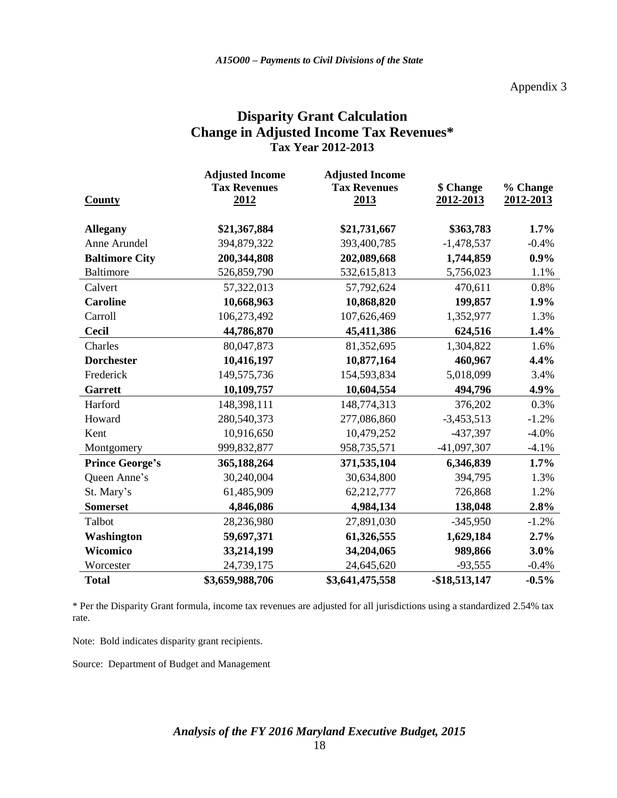#### Appendix 3

### **Disparity Grant Calculation Change in Adjusted Income Tax Revenues\* Tax Year 2012-2013**

|                        | <b>Adjusted Income</b> | <b>Adjusted Income</b> |               |           |
|------------------------|------------------------|------------------------|---------------|-----------|
|                        | <b>Tax Revenues</b>    | <b>Tax Revenues</b>    | \$ Change     | % Change  |
| <b>County</b>          | 2012                   | 2013                   | 2012-2013     | 2012-2013 |
|                        |                        |                        |               |           |
| <b>Allegany</b>        | \$21,367,884           | \$21,731,667           | \$363,783     | 1.7%      |
| Anne Arundel           | 394,879,322            | 393,400,785            | $-1,478,537$  | $-0.4%$   |
| <b>Baltimore City</b>  | 200,344,808            | 202,089,668            | 1,744,859     | 0.9%      |
| <b>Baltimore</b>       | 526,859,790            | 532,615,813            | 5,756,023     | 1.1%      |
| Calvert                | 57,322,013             | 57,792,624             | 470,611       | 0.8%      |
| <b>Caroline</b>        | 10,668,963             | 10,868,820             | 199,857       | 1.9%      |
| Carroll                | 106,273,492            | 107,626,469            | 1,352,977     | 1.3%      |
| <b>Cecil</b>           | 44,786,870             | 45,411,386             | 624,516       | 1.4%      |
| Charles                | 80,047,873             | 81,352,695             | 1,304,822     | 1.6%      |
| <b>Dorchester</b>      | 10,416,197             | 10,877,164             | 460,967       | 4.4%      |
| Frederick              | 149,575,736            | 154,593,834            | 5,018,099     | 3.4%      |
| <b>Garrett</b>         | 10,109,757             | 10,604,554             | 494,796       | 4.9%      |
| Harford                | 148,398,111            | 148,774,313            | 376,202       | 0.3%      |
| Howard                 | 280,540,373            | 277,086,860            | $-3,453,513$  | $-1.2%$   |
| Kent                   | 10,916,650             | 10,479,252             | -437,397      | $-4.0\%$  |
| Montgomery             | 999,832,877            | 958,735,571            | $-41,097,307$ | $-4.1%$   |
| <b>Prince George's</b> | 365,188,264            | 371,535,104            | 6,346,839     | 1.7%      |
| Queen Anne's           | 30,240,004             | 30,634,800             | 394,795       | 1.3%      |
| St. Mary's             | 61,485,909             | 62,212,777             | 726,868       | 1.2%      |
| <b>Somerset</b>        | 4,846,086              | 4,984,134              | 138,048       | 2.8%      |
| Talbot                 | 28,236,980             | 27,891,030             | $-345,950$    | $-1.2%$   |
| Washington             | 59,697,371             | 61,326,555             | 1,629,184     | 2.7%      |
| Wicomico               | 33,214,199             | 34,204,065             | 989,866       | 3.0%      |
| Worcester              | 24,739,175             | 24,645,620             | $-93,555$     | $-0.4%$   |
| <b>Total</b>           | \$3,659,988,706        | \$3,641,475,558        | -\$18,513,147 | $-0.5%$   |

\* Per the Disparity Grant formula, income tax revenues are adjusted for all jurisdictions using a standardized 2.54% tax rate.

Note: Bold indicates disparity grant recipients.

Source: Department of Budget and Management

## *Analysis of the FY 2016 Maryland Executive Budget, 2015*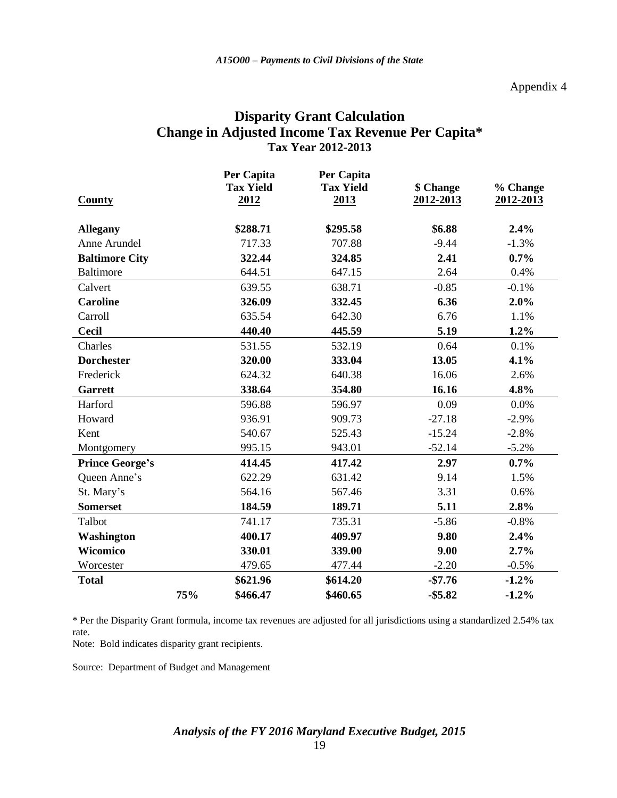### **Disparity Grant Calculation Change in Adjusted Income Tax Revenue Per Capita\* Tax Year 2012-2013**

|                        |     | Per Capita       | Per Capita       |            |           |
|------------------------|-----|------------------|------------------|------------|-----------|
|                        |     | <b>Tax Yield</b> | <b>Tax Yield</b> | \$ Change  | % Change  |
| <b>County</b>          |     | 2012             | 2013             | 2012-2013  | 2012-2013 |
|                        |     |                  |                  |            |           |
| <b>Allegany</b>        |     | \$288.71         | \$295.58         | \$6.88     | 2.4%      |
| Anne Arundel           |     | 717.33           | 707.88           | $-9.44$    | $-1.3%$   |
| <b>Baltimore City</b>  |     | 322.44           | 324.85           | 2.41       | 0.7%      |
| <b>Baltimore</b>       |     | 644.51           | 647.15           | 2.64       | 0.4%      |
| Calvert                |     | 639.55           | 638.71           | $-0.85$    | $-0.1%$   |
| <b>Caroline</b>        |     | 326.09           | 332.45           | 6.36       | 2.0%      |
| Carroll                |     | 635.54           | 642.30           | 6.76       | 1.1%      |
| <b>Cecil</b>           |     | 440.40           | 445.59           | 5.19       | 1.2%      |
| Charles                |     | 531.55           | 532.19           | 0.64       | 0.1%      |
| <b>Dorchester</b>      |     | 320.00           | 333.04           | 13.05      | 4.1%      |
| Frederick              |     | 624.32           | 640.38           | 16.06      | 2.6%      |
| Garrett                |     | 338.64           | 354.80           | 16.16      | 4.8%      |
| Harford                |     | 596.88           | 596.97           | 0.09       | 0.0%      |
| Howard                 |     | 936.91           | 909.73           | $-27.18$   | $-2.9%$   |
| Kent                   |     | 540.67           | 525.43           | $-15.24$   | $-2.8%$   |
| Montgomery             |     | 995.15           | 943.01           | $-52.14$   | $-5.2%$   |
| <b>Prince George's</b> |     | 414.45           | 417.42           | 2.97       | 0.7%      |
| Queen Anne's           |     | 622.29           | 631.42           | 9.14       | 1.5%      |
| St. Mary's             |     | 564.16           | 567.46           | 3.31       | 0.6%      |
| <b>Somerset</b>        |     | 184.59           | 189.71           | 5.11       | 2.8%      |
| Talbot                 |     | 741.17           | 735.31           | $-5.86$    | $-0.8%$   |
| <b>Washington</b>      |     | 400.17           | 409.97           | 9.80       | 2.4%      |
| Wicomico               |     | 330.01           | 339.00           | 9.00       | 2.7%      |
| Worcester              |     | 479.65           | 477.44           | $-2.20$    | $-0.5%$   |
| <b>Total</b>           |     | \$621.96         | \$614.20         | $-$7.76$   | $-1.2%$   |
|                        | 75% | \$466.47         | \$460.65         | $-$ \$5.82 | $-1.2%$   |

\* Per the Disparity Grant formula, income tax revenues are adjusted for all jurisdictions using a standardized 2.54% tax rate.

Note: Bold indicates disparity grant recipients.

Source: Department of Budget and Management

## *Analysis of the FY 2016 Maryland Executive Budget, 2015*